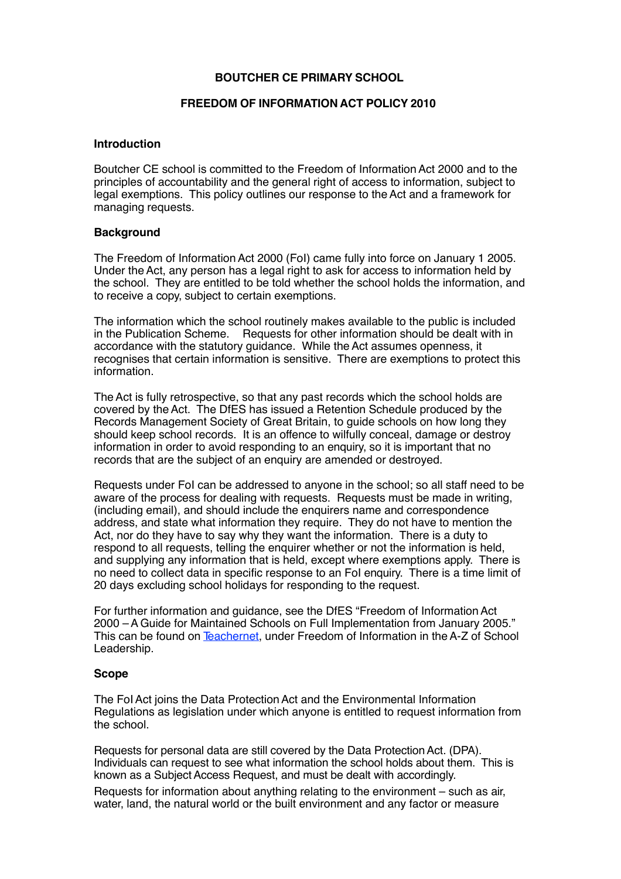# **BOUTCHER CE PRIMARY SCHOOL**

# **FREEDOM OF INFORMATION ACT POLICY 2010**

## **Introduction**

Boutcher CE school is committed to the Freedom of Information Act 2000 and to the principles of accountability and the general right of access to information, subject to legal exemptions. This policy outlines our response to theAct and a framework for managing requests.

## **Background**

The Freedom of Information Act 2000 (FoI) came fully into force on January 1 2005. Under theAct, any person has a legal right to ask for access to information held by the school. They are entitled to be told whether the school holds the information, and to receive a copy, subject to certain exemptions.

The information which the school routinely makes available to the public is included in the Publication Scheme. Requests for other information should be dealt with in accordance with the statutory guidance. While theAct assumes openness, it recognises that certain information is sensitive. There are exemptions to protect this information.

TheAct is fully retrospective, so that any past records which the school holds are covered by theAct. The DfES has issued a Retention Schedule produced by the Records Management Society of Great Britain, to guide schools on how long they should keep school records. It is an offence to wilfully conceal, damage or destroy information in order to avoid responding to an enquiry, so it is important that no records that are the subject of an enquiry are amended or destroyed.

Requests under FoI can be addressed to anyone in the school; so all staff need to be aware of the process for dealing with requests. Requests must be made in writing, (including email), and should include the enquirers name and correspondence address, and state what information they require. They do not have to mention the Act, nor do they have to say why they want the information. There is a duty to respond to all requests, telling the enquirer whether or not the information is held, and supplying any information that is held, except where exemptions apply. There is no need to collect data in specific response to an FoI enquiry. There is a time limit of 20 days excluding school holidays for responding to the request.

For further information and guidance, see the DfES "Freedom of InformationAct 2000 –A Guide for Maintained Schools on Full Implementation from January 2005." This can be found on Teachernet, under Freedom of Information in theA-Z of School Leadership.

## **Scope**

The FoI Act joins the Data Protection Act and the Environmental Information Regulations as legislation under which anyone is entitled to request information from the school.

Requests for personal data are still covered by the Data Protection Act. (DPA). Individuals can request to see what information the school holds about them. This is known as a Subject Access Request, and must be dealt with accordingly.

Requests for information about anything relating to the environment – such as air, water, land, the natural world or the built environment and any factor or measure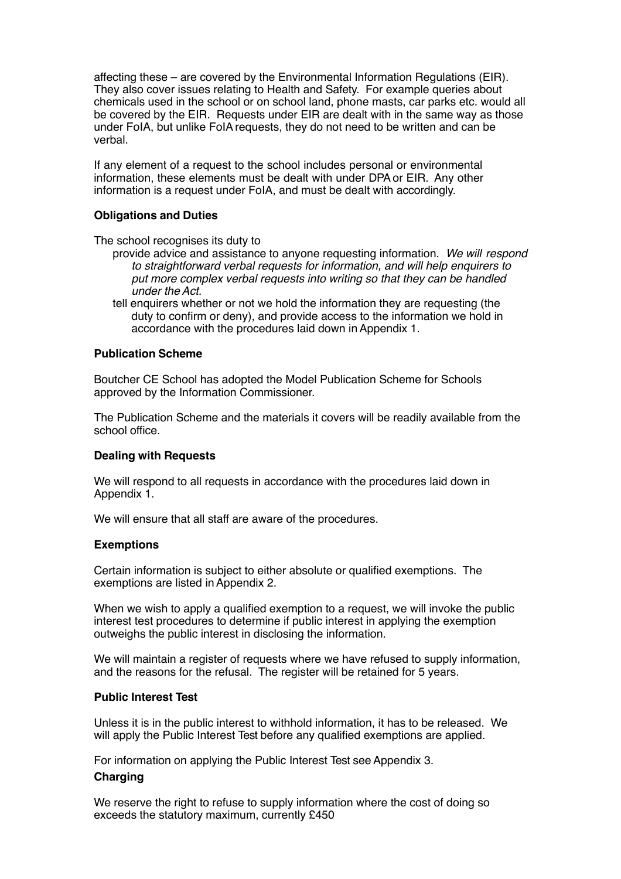affecting these – are covered by the Environmental Information Regulations (EIR). They also cover issues relating to Health and Safety. For example queries about chemicals used in the school or on school land, phone masts, car parks etc. would all be covered by the EIR. Requests under EIR are dealt with in the same way as those under FoIA, but unlike FoIArequests, they do not need to be written and can be verbal.

If any element of a request to the school includes personal or environmental information, these elements must be dealt with under DPAor EIR. Any other information is a request under FoIA, and must be dealt with accordingly.

## **Obligations and Duties**

The school recognises its duty to

- provide advice and assistance to anyone requesting information. *We will respond to straightforward verbal requests for information, and will help enquirers to put more complex verbal requests into writing so that they can be handled under the Act.*
- tell enquirers whether or not we hold the information they are requesting (the duty to confirm or deny), and provide access to the information we hold in accordance with the procedures laid down inAppendix 1.

# **Publication Scheme**

Boutcher CE School has adopted the Model Publication Scheme for Schools approved by the Information Commissioner.

The Publication Scheme and the materials it covers will be readily available from the school office.

# **Dealing with Requests**

We will respond to all requests in accordance with the procedures laid down in Appendix 1.

We will ensure that all staff are aware of the procedures.

## **Exemptions**

Certain information is subject to either absolute or qualified exemptions. The exemptions are listed inAppendix 2.

When we wish to apply a qualified exemption to a request, we will invoke the public interest test procedures to determine if public interest in applying the exemption outweighs the public interest in disclosing the information.

We will maintain a register of requests where we have refused to supply information, and the reasons for the refusal. The register will be retained for 5 years.

## **Public Interest Test**

Unless it is in the public interest to withhold information, it has to be released. We will apply the Public Interest Test before any qualified exemptions are applied.

For information on applying the Public Interest Test see Appendix 3.

# **Charging**

We reserve the right to refuse to supply information where the cost of doing so exceeds the statutory maximum, currently £450